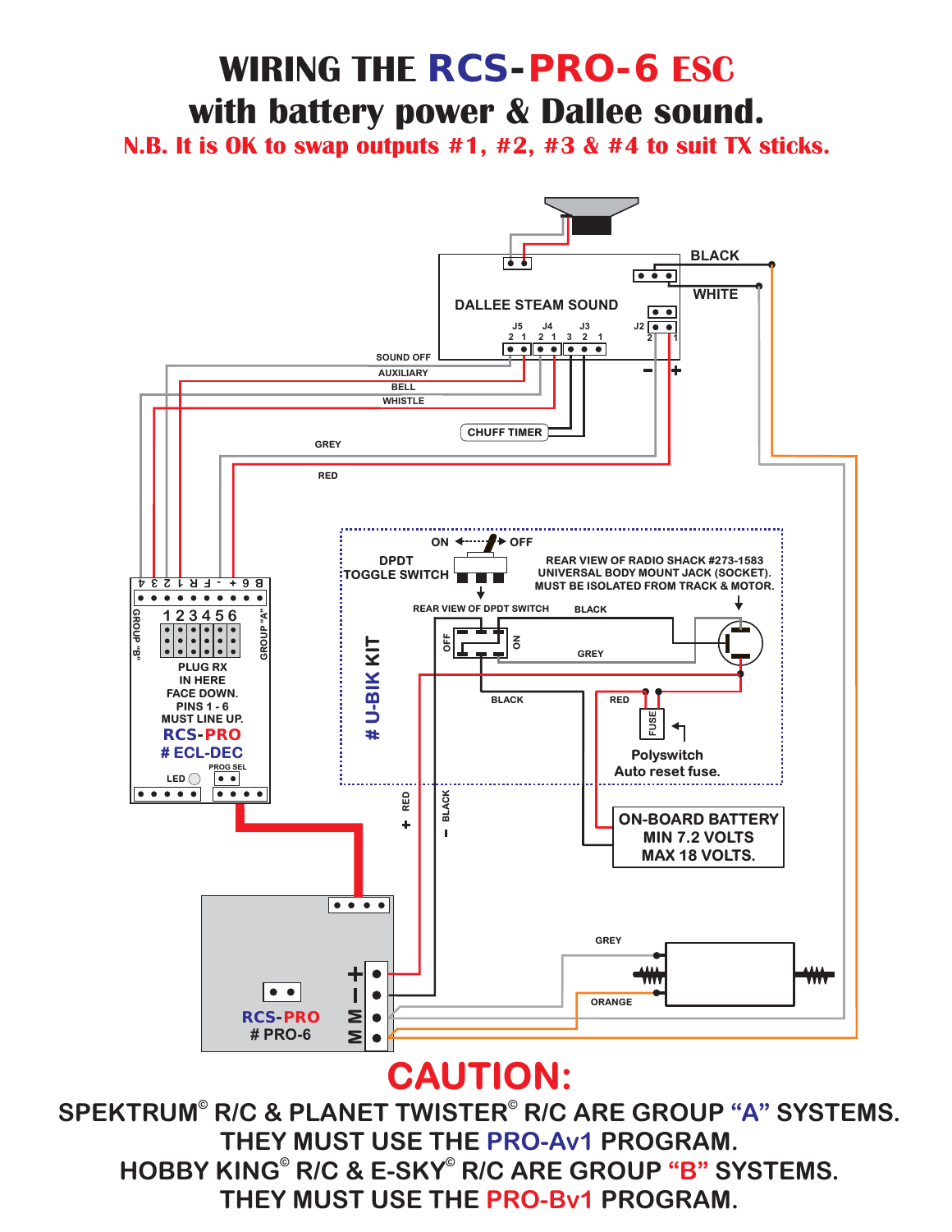# **WIRING THE** *RCS-PRO-6* **ESC with battery power & Dallee sound.**

**N.B. It is OK to swap outputs #1, #2, #3 & #4 to suit TX sticks.**



## **CAUTION:**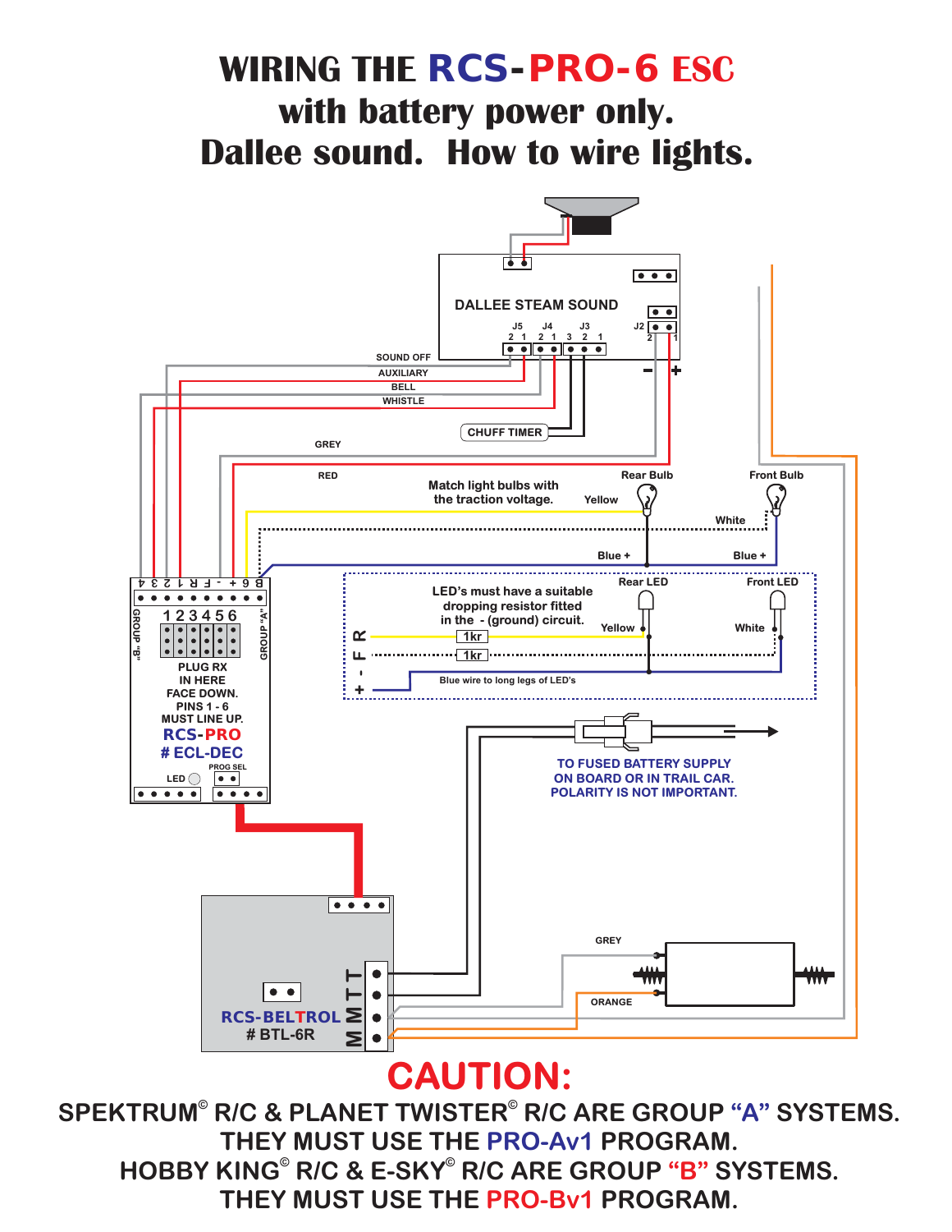# **WIRING THE** *RCS-PRO-6* **ESC with battery power only. Dallee sound. How to wire lights.**



#### **CAUTION:**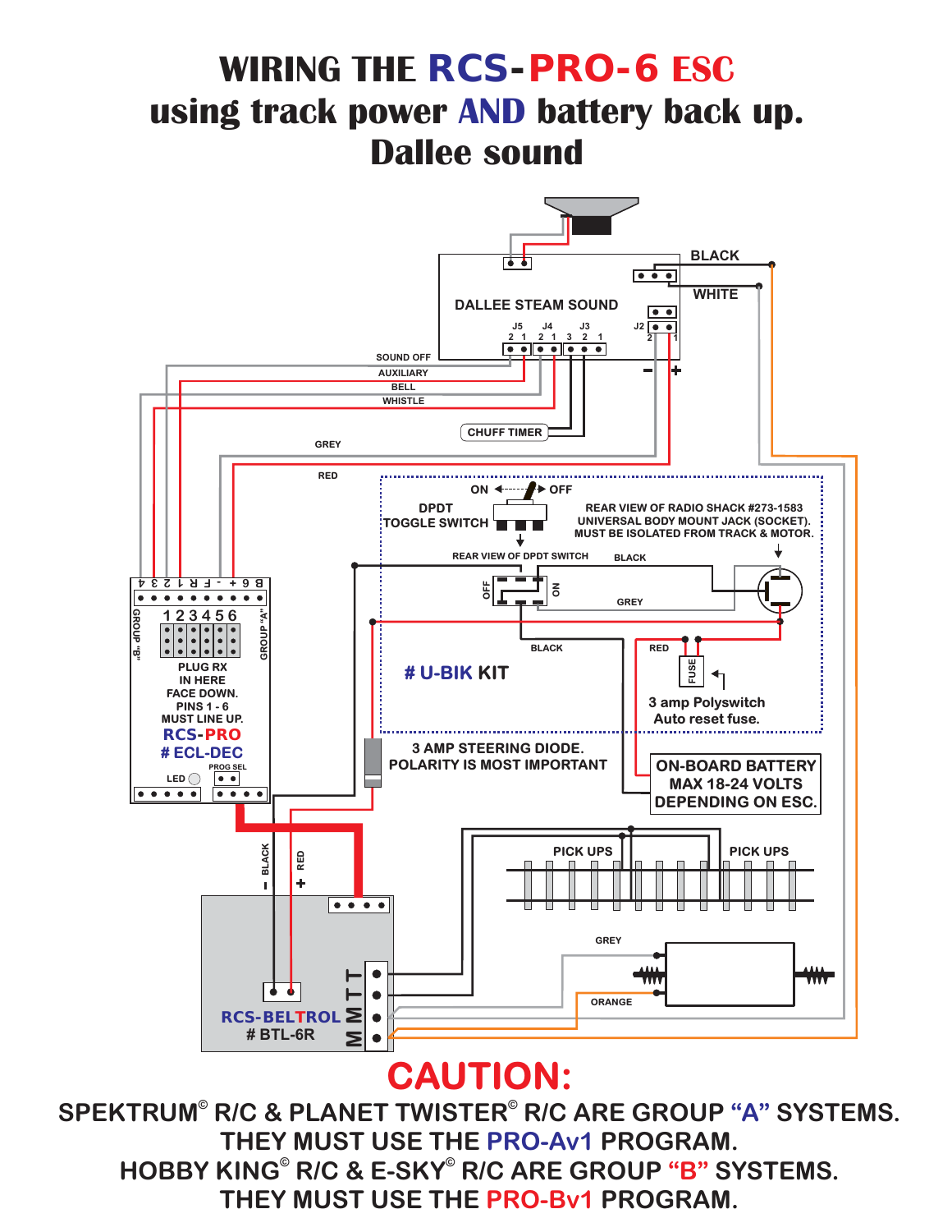# **WIRING THE** *RCS-PRO-6* **ESC using track power AND battery back up. Dallee sound**



#### **CAUTION:**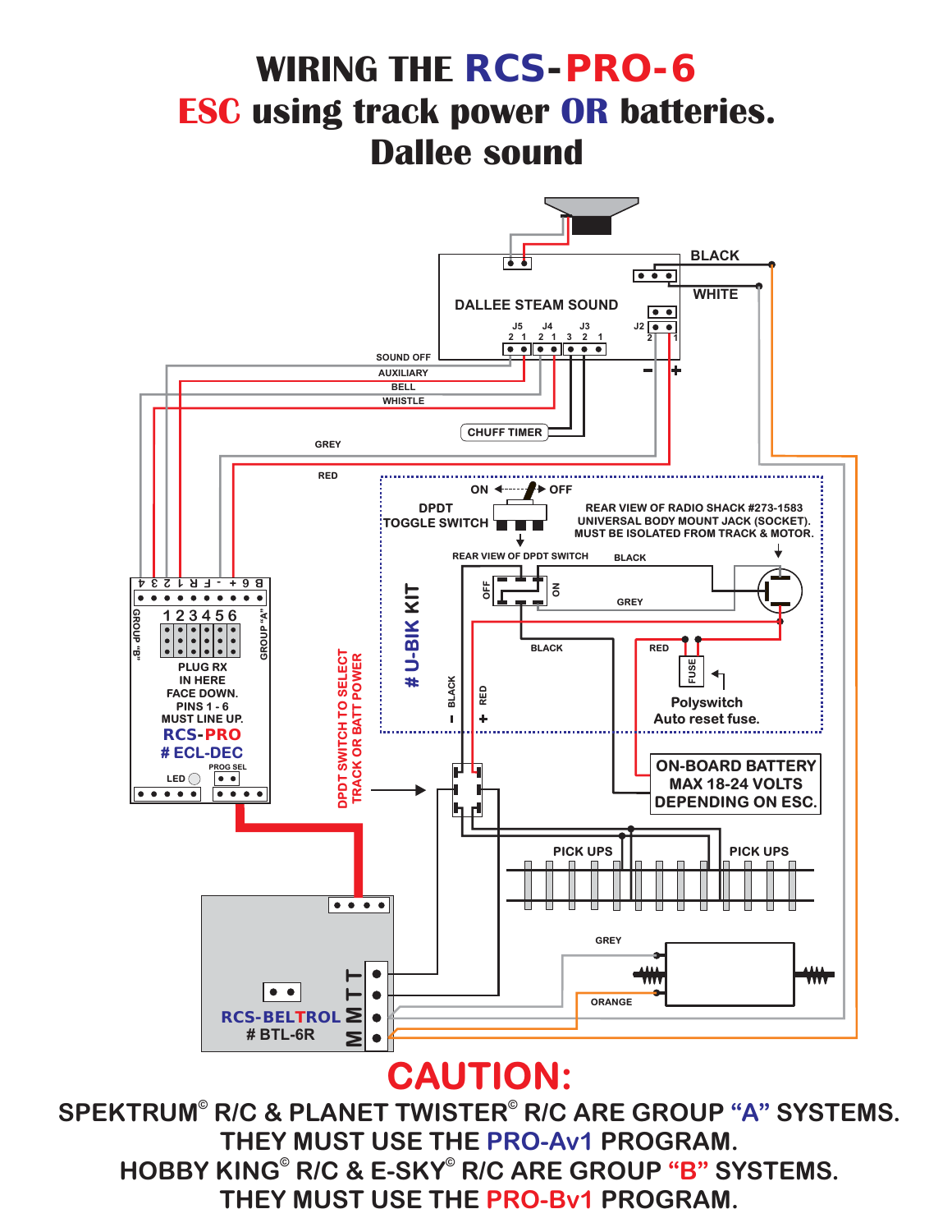## **WIRING THE** *RCS-PRO-6* **using track power OR ESC batteries. Dallee sound**



#### **CAUTION:**